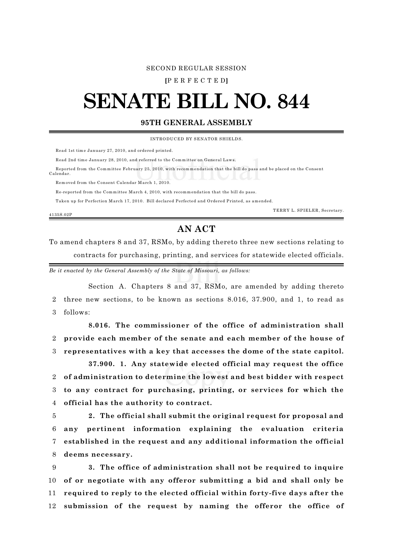## SECOND REGULAR SESSION

**[**P E R F E C T E D**]**

## **SENATE BILL NO. 844**

## **95TH GENERAL ASSEMBLY**

INTRODU CED BY SENATOR SHIELDS.

Read 1st time January 27, 2010, and ordered printed.

Read 2nd time January 28, 2010, and referred to the Committee on General Laws.

 Reported from the Comm ittee February 25, 2010, with recomm endation that the bill do pass and be placed on the Consent Calendar.

Rem oved from the Consent Calendar March 1, 2010.

Re-reported from the Committee March 4, 2010, with recommendation that the bill do pass.

Taken up for Perfection March 17, 2010. Bill declared Perfected and Ordered Printed, as amended.

4135S.02P

TERRY L. SPIELER, Secretary.

## **AN ACT**

To amend chapters 8 and 37, RSMo, by adding thereto three new sections relating to contracts for purchasing, printing, and services for statewide elected officials.

*Be it enacted by the General Assembly of the State of Missouri, as follows:*

Section A. Chapters 8 and 37, RSMo, are amended by adding thereto 2 three new sections, to be known as sections 8.016, 37.900, and 1, to read as 3 follows:

**8.016. The commissioner of the office of administration shall** 2 **provide each member of the senate and each member of the house of** 3 **representatives with a key that accesses the dome of the state capitol.**

**37.900. 1. Any statewide elected official may request the office of administration to determine the lowest and best bidder with respect to any contract for purchasing, printing, or services for which the official has the authority to contract.**

 **2. The official shall submit the original request for proposal and any pertinent information explaining the evaluation criteria established in the request and any additional information the official deems necessary.**

 **3. The office of administration shall not be required to inquire of or negotiate with any offeror submitting a bid and shall only be required to reply to the elected official within forty-five days after the submission of the request by naming the offeror the office of**